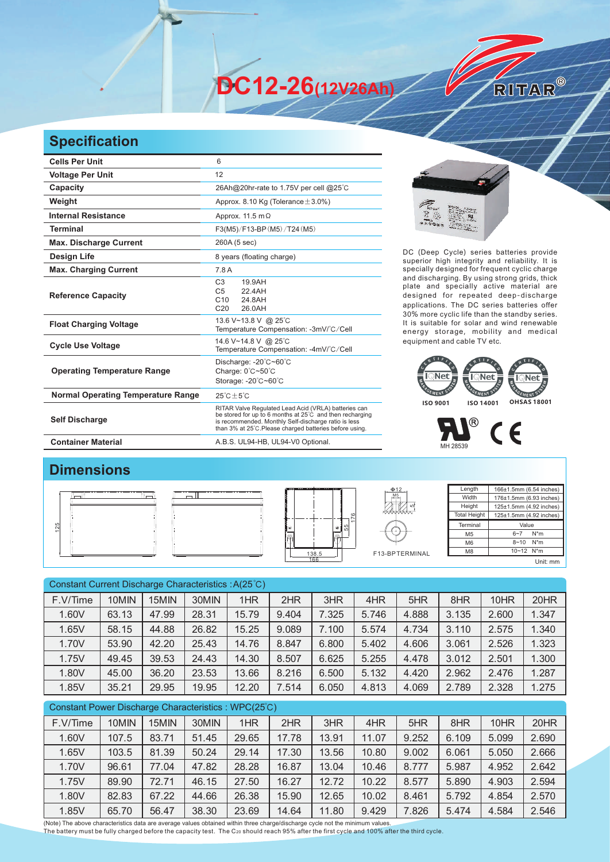**DC12-26(12V26Ah)** 

## **Specification**

| <b>Cells Per Unit</b>                     | 6                                                                                                                                                                                                                                   |  |  |  |  |
|-------------------------------------------|-------------------------------------------------------------------------------------------------------------------------------------------------------------------------------------------------------------------------------------|--|--|--|--|
| <b>Voltage Per Unit</b>                   | 12                                                                                                                                                                                                                                  |  |  |  |  |
| Capacity                                  | 26Ah@20hr-rate to 1.75V per cell @25°C                                                                                                                                                                                              |  |  |  |  |
| Weight                                    | Approx. 8.10 Kg (Tolerance $\pm$ 3.0%)                                                                                                                                                                                              |  |  |  |  |
| <b>Internal Resistance</b>                | Approx. 11.5 m $\Omega$                                                                                                                                                                                                             |  |  |  |  |
| <b>Terminal</b>                           | F3(M5)/F13-BP (M5)/T24 (M5)                                                                                                                                                                                                         |  |  |  |  |
| <b>Max. Discharge Current</b>             | 260A (5 sec)                                                                                                                                                                                                                        |  |  |  |  |
| Design Life                               | 8 years (floating charge)                                                                                                                                                                                                           |  |  |  |  |
| <b>Max. Charging Current</b>              | 7.8 A                                                                                                                                                                                                                               |  |  |  |  |
| <b>Reference Capacity</b>                 | C <sub>3</sub><br>19.9AH<br>C <sub>5</sub><br>22.4AH<br>C10<br>24.8AH<br>C <sub>20</sub><br>26.0AH                                                                                                                                  |  |  |  |  |
| <b>Float Charging Voltage</b>             | 13.6 V~13.8 V @ 25°C<br>Temperature Compensation: -3mV/°C/Cell                                                                                                                                                                      |  |  |  |  |
| <b>Cycle Use Voltage</b>                  | 14.6 V~14.8 V @ 25°C<br>Temperature Compensation: -4mV/°C/Cell                                                                                                                                                                      |  |  |  |  |
| <b>Operating Temperature Range</b>        | Discharge: -20°C~60°C<br>Charge: 0°C~50°C<br>Storage: -20°C~60°C                                                                                                                                                                    |  |  |  |  |
| <b>Normal Operating Temperature Range</b> | $25^{\circ}$ C + 5 $^{\circ}$ C                                                                                                                                                                                                     |  |  |  |  |
| <b>Self Discharge</b>                     | RITAR Valve Regulated Lead Acid (VRLA) batteries can<br>be stored for up to 6 months at 25°C and then recharging<br>is recommended. Monthly Self-discharge ratio is less<br>than 3% at 25°C. Please charged batteries before using. |  |  |  |  |
| <b>Container Material</b>                 | A.B.S. UL94-HB, UL94-V0 Optional.                                                                                                                                                                                                   |  |  |  |  |



RITAR®

DC (Deep Cycle) series batteries provide superior high integrity and reliability. It is specially designed for frequent cyclic charge and discharging. By using strong grids, thick plate and specially active material are designed for repeated deep-discharge applications. The DC series batteries offer 30% more cyclic life than the standby series. It is suitable for solar and wind renewable energy storage, mobility and medical equipment and cable TV etc.





## **Dimensions**

|  | ---------------------              | $\Phi$ 12<br>M <sub>5</sub><br>$\overline{\phantom{a}}$ | Length<br>Width<br>Height<br><b>Total Height</b> | 166±1.5mm (6.54 inches)<br>176±1.5mm (6.93 inches)<br>125±1.5mm (4.92 inches)<br>125±1.5mm (4.92 inches) |
|--|------------------------------------|---------------------------------------------------------|--------------------------------------------------|----------------------------------------------------------------------------------------------------------|
|  | ပ္ပု<br>$\Theta$<br>$\circledcirc$ |                                                         | Terminal                                         | Value                                                                                                    |
|  | $\overline{10}$                    |                                                         | M <sub>5</sub>                                   | $6 - 7$<br>$N^*m$                                                                                        |
|  |                                    |                                                         | M <sub>6</sub>                                   | $8 - 10$ N <sup>*</sup> m                                                                                |
|  | --------------------<br>138.5      | F13-BPTERMINAL                                          | M <sub>8</sub>                                   | 10~12 N*m                                                                                                |
|  | 166                                |                                                         |                                                  | Unit: mm                                                                                                 |

| Constant Current Discharge Characteristics : A(25°C) |       |       |       |       |       |       |       |       |       |       |       |
|------------------------------------------------------|-------|-------|-------|-------|-------|-------|-------|-------|-------|-------|-------|
| F.V/Time                                             | 10MIN | 15MIN | 30MIN | 1HR   | 2HR   | 3HR   | 4HR   | 5HR   | 8HR   | 10HR  | 20HR  |
| 1.60V                                                | 63.13 | 47.99 | 28.31 | 15.79 | 9.404 | 7.325 | 5.746 | 4.888 | 3.135 | 2.600 | 1.347 |
| 1.65V                                                | 58.15 | 44.88 | 26.82 | 15.25 | 9.089 | 7.100 | 5.574 | 4.734 | 3.110 | 2.575 | 1.340 |
| 1.70V                                                | 53.90 | 42.20 | 25.43 | 14.76 | 8.847 | 6.800 | 5.402 | 4.606 | 3.061 | 2.526 | 1.323 |
| 1.75V                                                | 49.45 | 39.53 | 24.43 | 14.30 | 8.507 | 6.625 | 5.255 | 4.478 | 3.012 | 2.501 | 1.300 |
| 1.80V                                                | 45.00 | 36.20 | 23.53 | 13.66 | 8.216 | 6.500 | 5.132 | 4.420 | 2.962 | 2.476 | 1.287 |
| 1.85V                                                | 35.21 | 29.95 | 19.95 | 12.20 | 7.514 | 6.050 | 4.813 | 4.069 | 2.789 | 2.328 | 1.275 |
| Constant Power Discharge Characteristics: WPC(25°C)  |       |       |       |       |       |       |       |       |       |       |       |

| F.V/Time | 10MIN | 15MIN | 30MIN | 1HR   | 2HR   | 3HR   | 4HR   | 5HR   | 8HR   | 10HR  | 20HR  |
|----------|-------|-------|-------|-------|-------|-------|-------|-------|-------|-------|-------|
| 1.60V    | 107.5 | 83.71 | 51.45 | 29.65 | 17.78 | 13.91 | 11.07 | 9.252 | 6.109 | 5.099 | 2.690 |
| 1.65V    | 103.5 | 81.39 | 50.24 | 29.14 | 17.30 | 13.56 | 10.80 | 9.002 | 6.061 | 5.050 | 2.666 |
| 1.70V    | 96.61 | 77.04 | 47.82 | 28.28 | 16.87 | 13.04 | 10.46 | 8.777 | 5.987 | 4.952 | 2.642 |
| 1.75V    | 89.90 | 72.71 | 46.15 | 27.50 | 16.27 | 12.72 | 10.22 | 8.577 | 5.890 | 4.903 | 2.594 |
| 1.80V    | 82.83 | 67.22 | 44.66 | 26.38 | 15.90 | 12.65 | 10.02 | 8.461 | 5.792 | 4.854 | 2.570 |
| 1.85V    | 65.70 | 56.47 | 38.30 | 23.69 | 14.64 | 11.80 | 9.429 | 7.826 | 5.474 | 4.584 | 2.546 |

(Note) The above characteristics data are average values obtained within three charge/discharge cycle not the minimum values.<br>The battery must be fully charged before the capacity test. The C20 should reach 95% after the